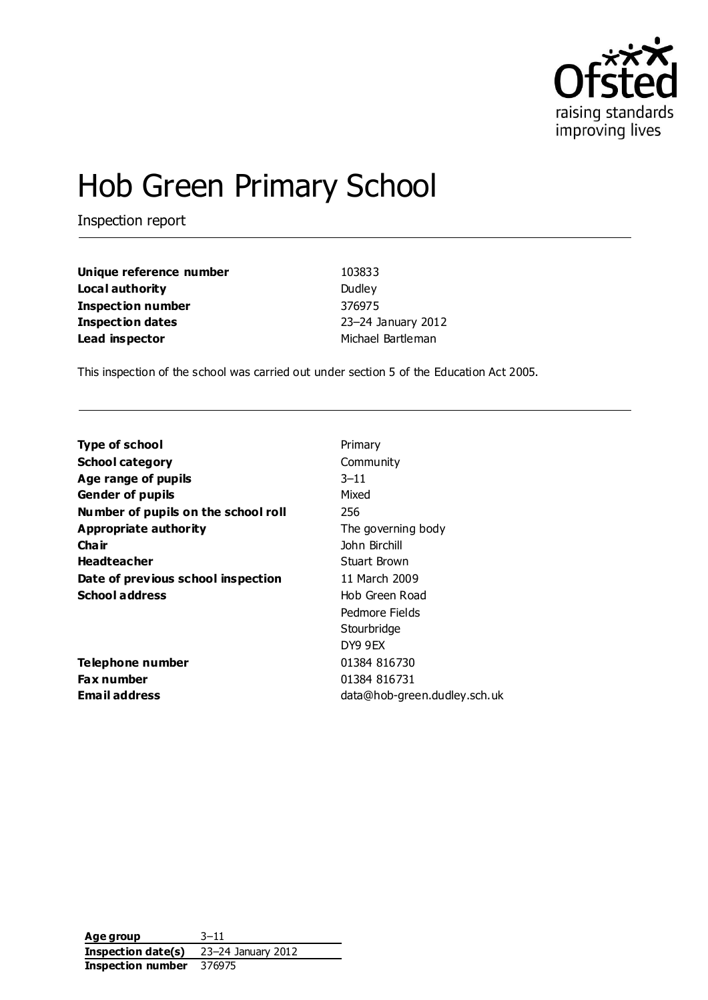

# Hob Green Primary School

Inspection report

| Unique reference number  | 103833             |
|--------------------------|--------------------|
| Local authority          | Dudley             |
| <b>Inspection number</b> | 376975             |
| Inspection dates         | 23-24 January 2012 |
| Lead inspector           | Michael Bartleman  |

This inspection of the school was carried out under section 5 of the Education Act 2005.

| <b>Type of school</b>               | Primary                      |
|-------------------------------------|------------------------------|
|                                     |                              |
| <b>School category</b>              | Community                    |
| Age range of pupils                 | $3 - 11$                     |
| <b>Gender of pupils</b>             | Mixed                        |
| Number of pupils on the school roll | 256                          |
| Appropriate authority               | The governing body           |
| Cha ir                              | John Birchill                |
| <b>Headteacher</b>                  | Stuart Brown                 |
| Date of previous school inspection  | 11 March 2009                |
| <b>School address</b>               | Hob Green Road               |
|                                     | Pedmore Fields               |
|                                     | Stourbridge                  |
|                                     | DY9 9EX                      |
| Telephone number                    | 01384 816730                 |
| <b>Fax number</b>                   | 01384 816731                 |
| <b>Email address</b>                | data@hob-green.dudley.sch.uk |
|                                     |                              |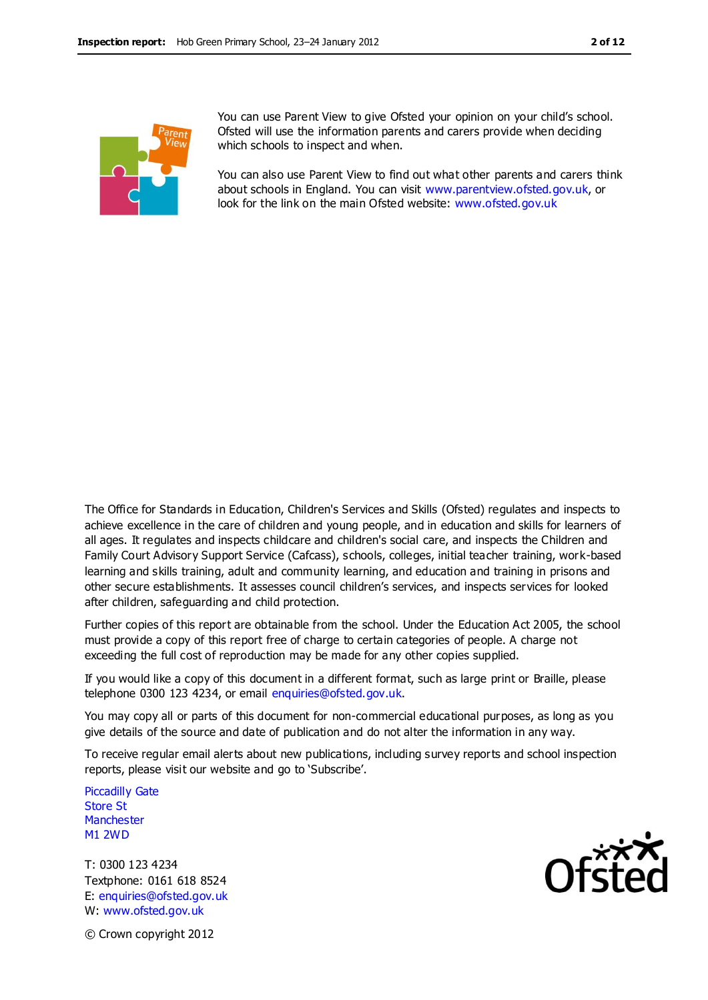

You can use Parent View to give Ofsted your opinion on your child's school. Ofsted will use the information parents and carers provide when deciding which schools to inspect and when.

You can also use Parent View to find out what other parents and carers think about schools in England. You can visit [www.parentview.ofsted.gov.uk,](http://www.parentview.ofsted.gov.uk/) or look for the link on the main Ofsted website: [www.ofsted.gov.uk](http://www.ofsted.gov.uk/)

The Office for Standards in Education, Children's Services and Skills (Ofsted) regulates and inspects to achieve excellence in the care of children and young people, and in education and skills for learners of all ages. It regulates and inspects childcare and children's social care, and inspects the Children and Family Court Advisory Support Service (Cafcass), schools, colleges, initial teacher training, work-based learning and skills training, adult and community learning, and education and training in prisons and other secure establishments. It assesses council children's services, and inspects services for looked after children, safeguarding and child protection.

Further copies of this report are obtainable from the school. Under the Education Act 2005, the school must provide a copy of this report free of charge to certain categories of people. A charge not exceeding the full cost of reproduction may be made for any other copies supplied.

If you would like a copy of this document in a different format, such as large print or Braille, please telephone 0300 123 4234, or email enquiries@ofsted.gov.uk.

You may copy all or parts of this document for non-commercial educational purposes, as long as you give details of the source and date of publication and do not alter the information in any way.

To receive regular email alerts about new publications, including survey reports and school inspection reports, please visit our website and go to 'Subscribe'.

Piccadilly Gate Store St **Manchester** M1 2WD

T: 0300 123 4234 Textphone: 0161 618 8524 E: enquiries@ofsted.gov.uk W: www.ofsted.gov.uk



© Crown copyright 2012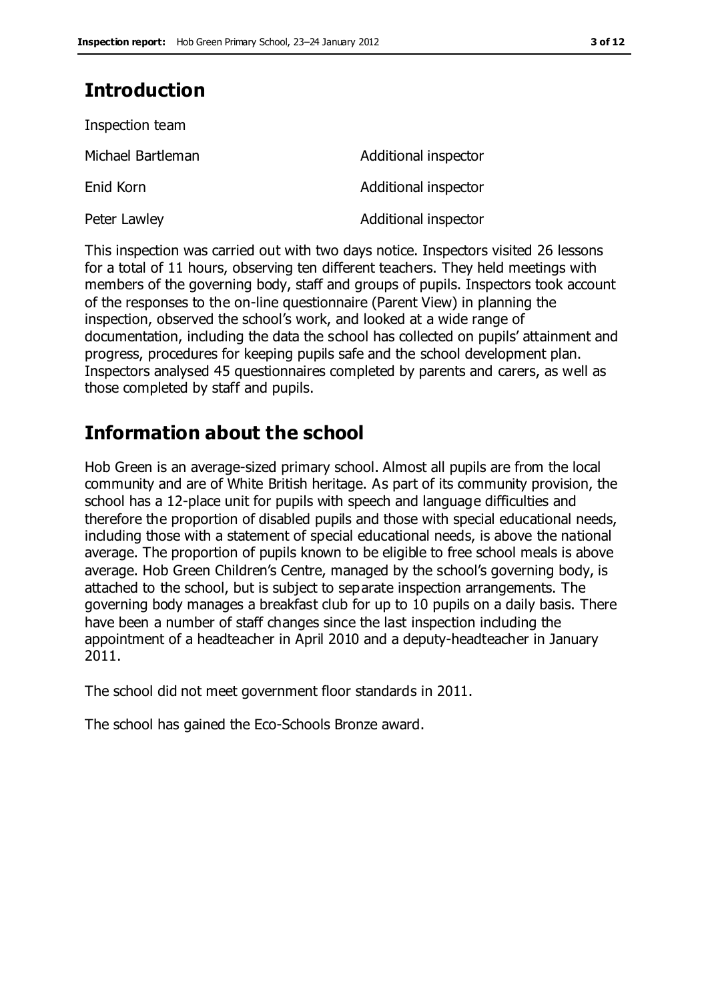# **Introduction**

| Inspection team   |                      |
|-------------------|----------------------|
| Michael Bartleman | Additional inspector |
| Enid Korn         | Additional inspector |
| Peter Lawley      | Additional inspector |

This inspection was carried out with two days notice. Inspectors visited 26 lessons for a total of 11 hours, observing ten different teachers. They held meetings with members of the governing body, staff and groups of pupils. Inspectors took account of the responses to the on-line questionnaire (Parent View) in planning the inspection, observed the school's work, and looked at a wide range of documentation, including the data the school has collected on pupils' attainment and progress, procedures for keeping pupils safe and the school development plan. Inspectors analysed 45 questionnaires completed by parents and carers, as well as those completed by staff and pupils.

# **Information about the school**

Hob Green is an average-sized primary school. Almost all pupils are from the local community and are of White British heritage. As part of its community provision, the school has a 12-place unit for pupils with speech and language difficulties and therefore the proportion of disabled pupils and those with special educational needs, including those with a statement of special educational needs, is above the national average. The proportion of pupils known to be eligible to free school meals is above average. Hob Green Children's Centre, managed by the school's governing body, is attached to the school, but is subject to separate inspection arrangements. The governing body manages a breakfast club for up to 10 pupils on a daily basis. There have been a number of staff changes since the last inspection including the appointment of a headteacher in April 2010 and a deputy-headteacher in January 2011.

The school did not meet government floor standards in 2011.

The school has gained the Eco-Schools Bronze award.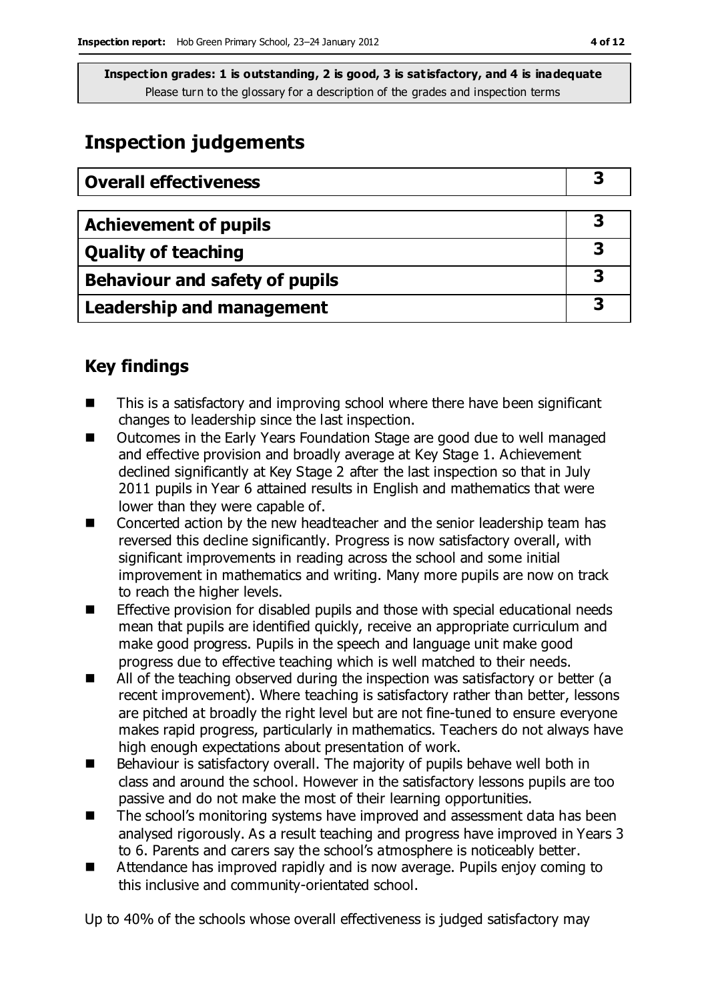# **Inspection judgements**

| <b>Overall effectiveness</b>          |   |
|---------------------------------------|---|
|                                       |   |
| <b>Achievement of pupils</b>          | 3 |
| <b>Quality of teaching</b>            |   |
| <b>Behaviour and safety of pupils</b> | 3 |
| <b>Leadership and management</b>      | 3 |

# **Key findings**

- This is a satisfactory and improving school where there have been significant changes to leadership since the last inspection.
- Outcomes in the Early Years Foundation Stage are good due to well managed and effective provision and broadly average at Key Stage 1. Achievement declined significantly at Key Stage 2 after the last inspection so that in July 2011 pupils in Year 6 attained results in English and mathematics that were lower than they were capable of.
- Concerted action by the new headteacher and the senior leadership team has reversed this decline significantly. Progress is now satisfactory overall, with significant improvements in reading across the school and some initial improvement in mathematics and writing. Many more pupils are now on track to reach the higher levels.
- Effective provision for disabled pupils and those with special educational needs mean that pupils are identified quickly, receive an appropriate curriculum and make good progress. Pupils in the speech and language unit make good progress due to effective teaching which is well matched to their needs.
- All of the teaching observed during the inspection was satisfactory or better (a recent improvement). Where teaching is satisfactory rather than better, lessons are pitched at broadly the right level but are not fine-tuned to ensure everyone makes rapid progress, particularly in mathematics. Teachers do not always have high enough expectations about presentation of work.
- $\blacksquare$  Behaviour is satisfactory overall. The majority of pupils behave well both in class and around the school. However in the satisfactory lessons pupils are too passive and do not make the most of their learning opportunities.
- The school's monitoring systems have improved and assessment data has been analysed rigorously. As a result teaching and progress have improved in Years 3 to 6. Parents and carers say the school's atmosphere is noticeably better.
- Attendance has improved rapidly and is now average. Pupils enjoy coming to this inclusive and community-orientated school.

Up to 40% of the schools whose overall effectiveness is judged satisfactory may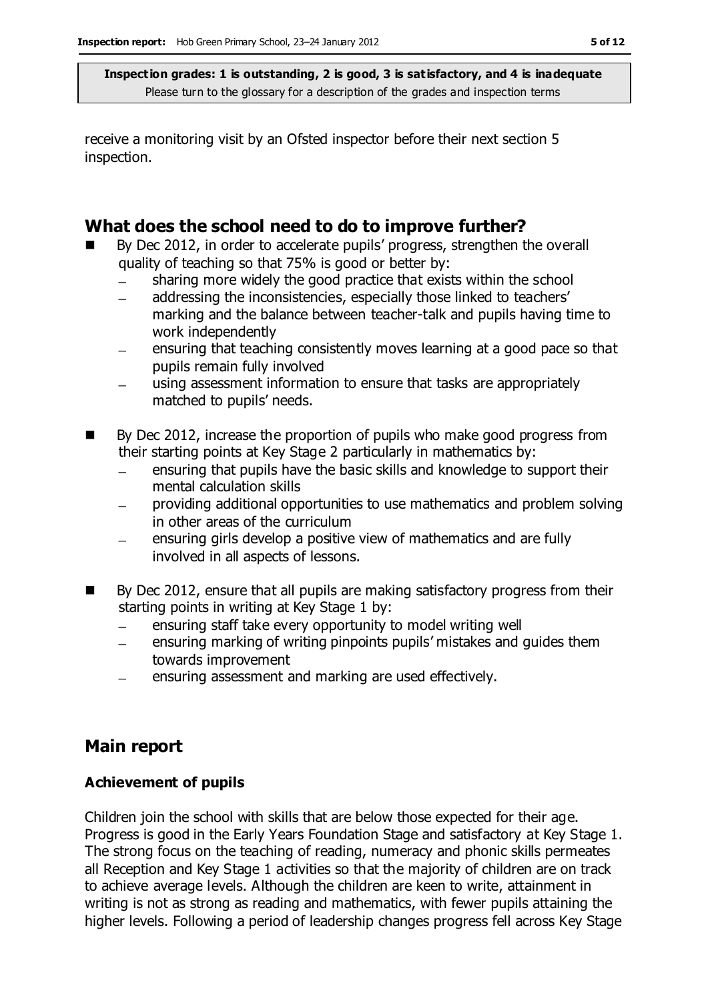receive a monitoring visit by an Ofsted inspector before their next section 5 inspection.

### **What does the school need to do to improve further?**

- By Dec 2012, in order to accelerate pupils' progress, strengthen the overall quality of teaching so that 75% is good or better by:
	- sharing more widely the good practice that exists within the school  $\equiv$
	- addressing the inconsistencies, especially those linked to teachers'  $\frac{1}{2}$ marking and the balance between teacher-talk and pupils having time to work independently
	- ensuring that teaching consistently moves learning at a good pace so that pupils remain fully involved
	- using assessment information to ensure that tasks are appropriately matched to pupils' needs.
- By Dec 2012, increase the proportion of pupils who make good progress from their starting points at Key Stage 2 particularly in mathematics by:
	- ensuring that pupils have the basic skills and knowledge to support their  $\equiv$ mental calculation skills
	- providing additional opportunities to use mathematics and problem solving in other areas of the curriculum
	- ensuring girls develop a positive view of mathematics and are fully involved in all aspects of lessons.
- By Dec 2012, ensure that all pupils are making satisfactory progress from their starting points in writing at Key Stage 1 by:
	- ensuring staff take every opportunity to model writing well  $\equiv$
	- ensuring marking of writing pinpoints pupils' mistakes and guides them  $\equiv$ towards improvement
	- ensuring assessment and marking are used effectively.

## **Main report**

#### **Achievement of pupils**

Children join the school with skills that are below those expected for their age. Progress is good in the Early Years Foundation Stage and satisfactory at Key Stage 1. The strong focus on the teaching of reading, numeracy and phonic skills permeates all Reception and Key Stage 1 activities so that the majority of children are on track to achieve average levels. Although the children are keen to write, attainment in writing is not as strong as reading and mathematics, with fewer pupils attaining the higher levels. Following a period of leadership changes progress fell across Key Stage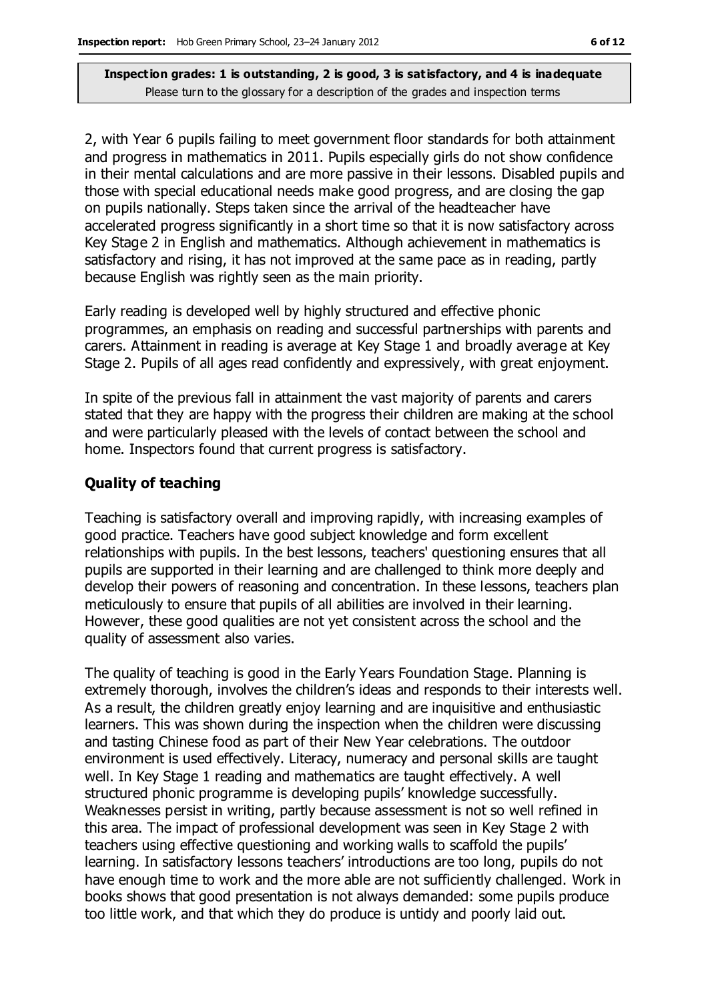2, with Year 6 pupils failing to meet government floor standards for both attainment and progress in mathematics in 2011. Pupils especially girls do not show confidence in their mental calculations and are more passive in their lessons. Disabled pupils and those with special educational needs make good progress, and are closing the gap on pupils nationally. Steps taken since the arrival of the headteacher have accelerated progress significantly in a short time so that it is now satisfactory across Key Stage 2 in English and mathematics. Although achievement in mathematics is satisfactory and rising, it has not improved at the same pace as in reading, partly because English was rightly seen as the main priority.

Early reading is developed well by highly structured and effective phonic programmes, an emphasis on reading and successful partnerships with parents and carers. Attainment in reading is average at Key Stage 1 and broadly average at Key Stage 2. Pupils of all ages read confidently and expressively, with great enjoyment.

In spite of the previous fall in attainment the vast majority of parents and carers stated that they are happy with the progress their children are making at the school and were particularly pleased with the levels of contact between the school and home. Inspectors found that current progress is satisfactory.

#### **Quality of teaching**

Teaching is satisfactory overall and improving rapidly, with increasing examples of good practice. Teachers have good subject knowledge and form excellent relationships with pupils. In the best lessons, teachers' questioning ensures that all pupils are supported in their learning and are challenged to think more deeply and develop their powers of reasoning and concentration. In these lessons, teachers plan meticulously to ensure that pupils of all abilities are involved in their learning. However, these good qualities are not yet consistent across the school and the quality of assessment also varies.

The quality of teaching is good in the Early Years Foundation Stage. Planning is extremely thorough, involves the children's ideas and responds to their interests well. As a result, the children greatly enjoy learning and are inquisitive and enthusiastic learners. This was shown during the inspection when the children were discussing and tasting Chinese food as part of their New Year celebrations. The outdoor environment is used effectively. Literacy, numeracy and personal skills are taught well. In Key Stage 1 reading and mathematics are taught effectively. A well structured phonic programme is developing pupils' knowledge successfully. Weaknesses persist in writing, partly because assessment is not so well refined in this area. The impact of professional development was seen in Key Stage 2 with teachers using effective questioning and working walls to scaffold the pupils' learning. In satisfactory lessons teachers' introductions are too long, pupils do not have enough time to work and the more able are not sufficiently challenged. Work in books shows that good presentation is not always demanded: some pupils produce too little work, and that which they do produce is untidy and poorly laid out.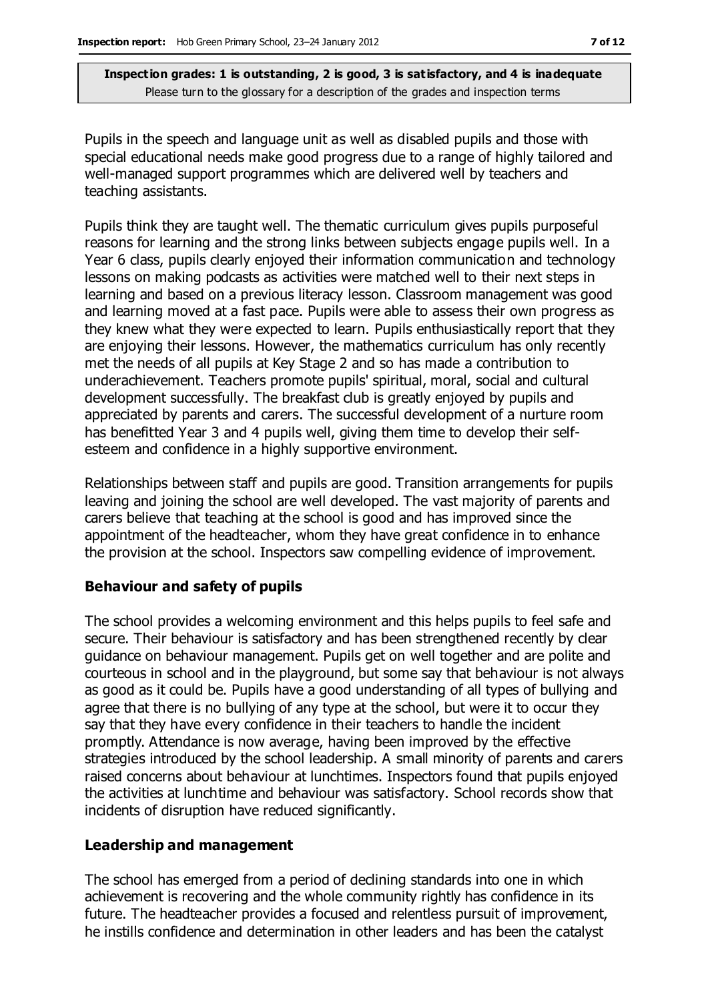Pupils in the speech and language unit as well as disabled pupils and those with special educational needs make good progress due to a range of highly tailored and well-managed support programmes which are delivered well by teachers and teaching assistants.

Pupils think they are taught well. The thematic curriculum gives pupils purposeful reasons for learning and the strong links between subjects engage pupils well. In a Year 6 class, pupils clearly enjoyed their information communication and technology lessons on making podcasts as activities were matched well to their next steps in learning and based on a previous literacy lesson. Classroom management was good and learning moved at a fast pace. Pupils were able to assess their own progress as they knew what they were expected to learn. Pupils enthusiastically report that they are enjoying their lessons. However, the mathematics curriculum has only recently met the needs of all pupils at Key Stage 2 and so has made a contribution to underachievement. Teachers promote pupils' spiritual, moral, social and cultural development successfully. The breakfast club is greatly enjoyed by pupils and appreciated by parents and carers. The successful development of a nurture room has benefitted Year 3 and 4 pupils well, giving them time to develop their selfesteem and confidence in a highly supportive environment.

Relationships between staff and pupils are good. Transition arrangements for pupils leaving and joining the school are well developed. The vast majority of parents and carers believe that teaching at the school is good and has improved since the appointment of the headteacher, whom they have great confidence in to enhance the provision at the school. Inspectors saw compelling evidence of improvement.

#### **Behaviour and safety of pupils**

The school provides a welcoming environment and this helps pupils to feel safe and secure. Their behaviour is satisfactory and has been strengthened recently by clear guidance on behaviour management. Pupils get on well together and are polite and courteous in school and in the playground, but some say that behaviour is not always as good as it could be. Pupils have a good understanding of all types of bullying and agree that there is no bullying of any type at the school, but were it to occur they say that they have every confidence in their teachers to handle the incident promptly. Attendance is now average, having been improved by the effective strategies introduced by the school leadership. A small minority of parents and carers raised concerns about behaviour at lunchtimes. Inspectors found that pupils enjoyed the activities at lunchtime and behaviour was satisfactory. School records show that incidents of disruption have reduced significantly.

#### **Leadership and management**

The school has emerged from a period of declining standards into one in which achievement is recovering and the whole community rightly has confidence in its future. The headteacher provides a focused and relentless pursuit of improvement, he instills confidence and determination in other leaders and has been the catalyst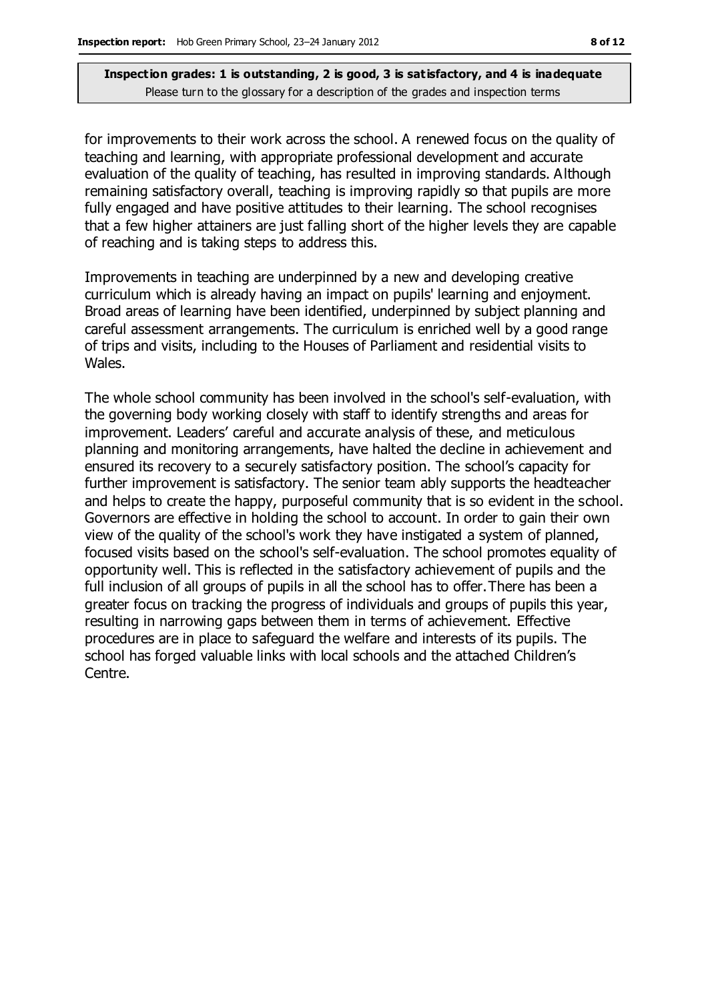for improvements to their work across the school. A renewed focus on the quality of teaching and learning, with appropriate professional development and accurate evaluation of the quality of teaching, has resulted in improving standards. Although remaining satisfactory overall, teaching is improving rapidly so that pupils are more fully engaged and have positive attitudes to their learning. The school recognises that a few higher attainers are just falling short of the higher levels they are capable of reaching and is taking steps to address this.

Improvements in teaching are underpinned by a new and developing creative curriculum which is already having an impact on pupils' learning and enjoyment. Broad areas of learning have been identified, underpinned by subject planning and careful assessment arrangements. The curriculum is enriched well by a good range of trips and visits, including to the Houses of Parliament and residential visits to Wales.

The whole school community has been involved in the school's self-evaluation, with the governing body working closely with staff to identify strengths and areas for improvement. Leaders' careful and accurate analysis of these, and meticulous planning and monitoring arrangements, have halted the decline in achievement and ensured its recovery to a securely satisfactory position. The school's capacity for further improvement is satisfactory. The senior team ably supports the headteacher and helps to create the happy, purposeful community that is so evident in the school. Governors are effective in holding the school to account. In order to gain their own view of the quality of the school's work they have instigated a system of planned, focused visits based on the school's self-evaluation. The school promotes equality of opportunity well. This is reflected in the satisfactory achievement of pupils and the full inclusion of all groups of pupils in all the school has to offer.There has been a greater focus on tracking the progress of individuals and groups of pupils this year, resulting in narrowing gaps between them in terms of achievement. Effective procedures are in place to safeguard the welfare and interests of its pupils. The school has forged valuable links with local schools and the attached Children's Centre.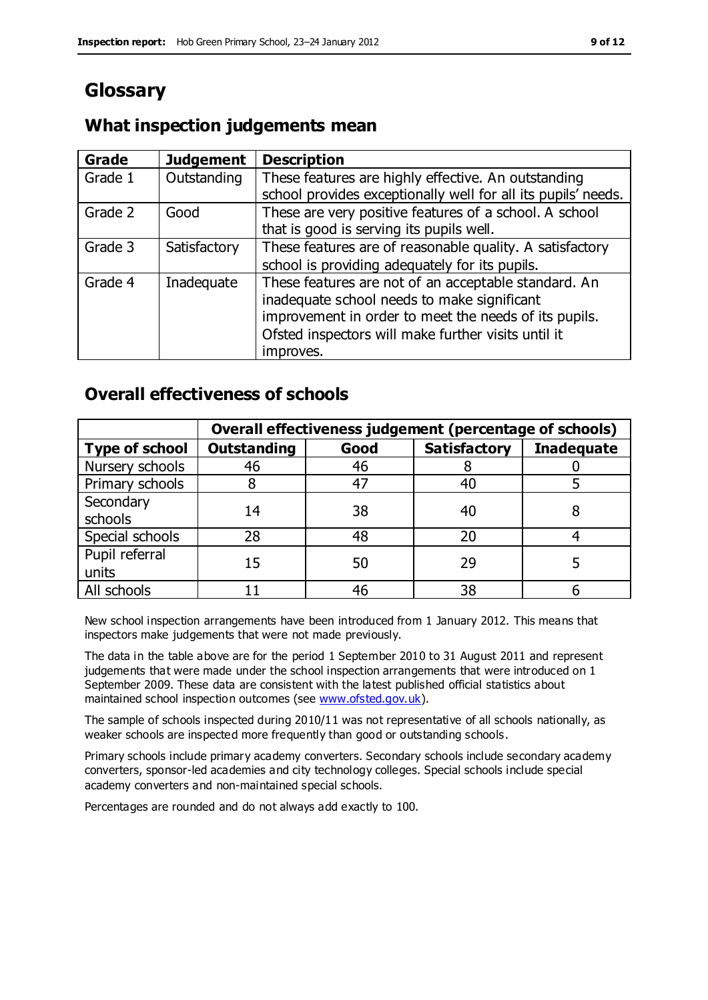# **Glossary**

### **What inspection judgements mean**

| Grade   | <b>Judgement</b> | <b>Description</b>                                            |
|---------|------------------|---------------------------------------------------------------|
| Grade 1 | Outstanding      | These features are highly effective. An outstanding           |
|         |                  | school provides exceptionally well for all its pupils' needs. |
| Grade 2 | Good             | These are very positive features of a school. A school        |
|         |                  | that is good is serving its pupils well.                      |
| Grade 3 | Satisfactory     | These features are of reasonable quality. A satisfactory      |
|         |                  | school is providing adequately for its pupils.                |
| Grade 4 | Inadequate       | These features are not of an acceptable standard. An          |
|         |                  | inadequate school needs to make significant                   |
|         |                  | improvement in order to meet the needs of its pupils.         |
|         |                  | Ofsted inspectors will make further visits until it           |
|         |                  | improves.                                                     |

### **Overall effectiveness of schools**

|                       | Overall effectiveness judgement (percentage of schools) |      |                     |                   |
|-----------------------|---------------------------------------------------------|------|---------------------|-------------------|
| <b>Type of school</b> | <b>Outstanding</b>                                      | Good | <b>Satisfactory</b> | <b>Inadequate</b> |
| Nursery schools       | 46                                                      | 46   |                     |                   |
| Primary schools       |                                                         | 47   | 40                  |                   |
| Secondary             | 14                                                      | 38   | 40                  |                   |
| schools               |                                                         |      |                     |                   |
| Special schools       | 28                                                      | 48   | 20                  |                   |
| Pupil referral        | 15                                                      | 50   | 29                  |                   |
| units                 |                                                         |      |                     |                   |
| All schools           |                                                         | 46   | 38                  |                   |

New school inspection arrangements have been introduced from 1 January 2012. This means that inspectors make judgements that were not made previously.

The data in the table above are for the period 1 September 2010 to 31 August 2011 and represent judgements that were made under the school inspection arrangements that were introduced on 1 September 2009. These data are consistent with the latest published official statistics about maintained school inspection outcomes (see [www.ofsted.gov.uk\)](http://www.ofsted.gov.uk/).

The sample of schools inspected during 2010/11 was not representative of all schools nationally, as weaker schools are inspected more frequently than good or outstanding schools.

Primary schools include primary academy converters. Secondary schools include secondary academy converters, sponsor-led academies and city technology colleges. Special schools include special academy converters and non-maintained special schools.

Percentages are rounded and do not always add exactly to 100.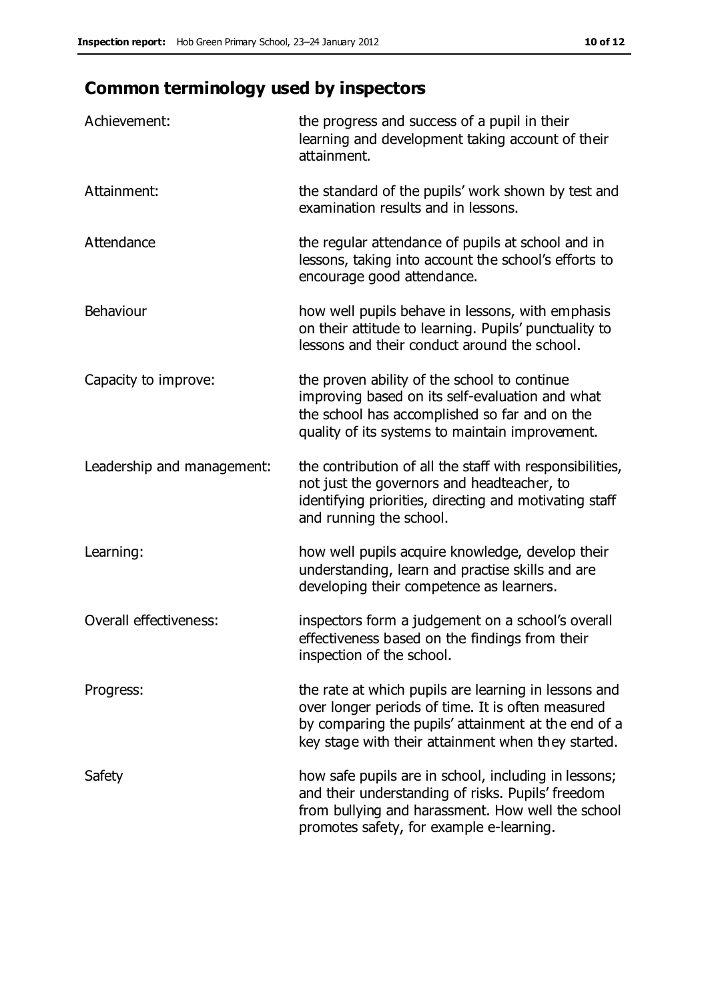# **Common terminology used by inspectors**

| Achievement:                  | the progress and success of a pupil in their<br>learning and development taking account of their<br>attainment.                                                                                                        |
|-------------------------------|------------------------------------------------------------------------------------------------------------------------------------------------------------------------------------------------------------------------|
| Attainment:                   | the standard of the pupils' work shown by test and<br>examination results and in lessons.                                                                                                                              |
| Attendance                    | the regular attendance of pupils at school and in<br>lessons, taking into account the school's efforts to<br>encourage good attendance.                                                                                |
| Behaviour                     | how well pupils behave in lessons, with emphasis<br>on their attitude to learning. Pupils' punctuality to<br>lessons and their conduct around the school.                                                              |
| Capacity to improve:          | the proven ability of the school to continue<br>improving based on its self-evaluation and what<br>the school has accomplished so far and on the<br>quality of its systems to maintain improvement.                    |
| Leadership and management:    | the contribution of all the staff with responsibilities,<br>not just the governors and headteacher, to<br>identifying priorities, directing and motivating staff<br>and running the school.                            |
| Learning:                     | how well pupils acquire knowledge, develop their<br>understanding, learn and practise skills and are<br>developing their competence as learners.                                                                       |
| <b>Overall effectiveness:</b> | inspectors form a judgement on a school's overall<br>effectiveness based on the findings from their<br>inspection of the school.                                                                                       |
| Progress:                     | the rate at which pupils are learning in lessons and<br>over longer periods of time. It is often measured<br>by comparing the pupils' attainment at the end of a<br>key stage with their attainment when they started. |
| Safety                        | how safe pupils are in school, including in lessons;<br>and their understanding of risks. Pupils' freedom<br>from bullying and harassment. How well the school<br>promotes safety, for example e-learning.             |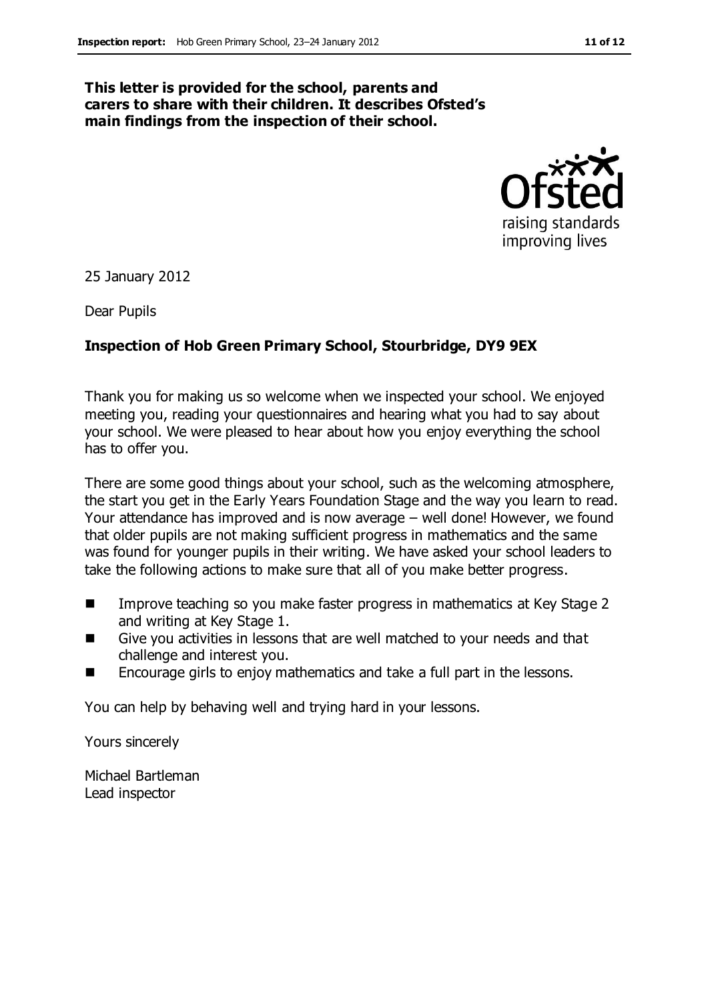#### **This letter is provided for the school, parents and carers to share with their children. It describes Ofsted's main findings from the inspection of their school.**



25 January 2012

Dear Pupils

#### **Inspection of Hob Green Primary School, Stourbridge, DY9 9EX**

Thank you for making us so welcome when we inspected your school. We enjoyed meeting you, reading your questionnaires and hearing what you had to say about your school. We were pleased to hear about how you enjoy everything the school has to offer you.

There are some good things about your school, such as the welcoming atmosphere, the start you get in the Early Years Foundation Stage and the way you learn to read. Your attendance has improved and is now average – well done! However, we found that older pupils are not making sufficient progress in mathematics and the same was found for younger pupils in their writing. We have asked your school leaders to take the following actions to make sure that all of you make better progress.

- Improve teaching so you make faster progress in mathematics at Key Stage 2 and writing at Key Stage 1.
- Give you activities in lessons that are well matched to your needs and that challenge and interest you.
- Encourage girls to enjoy mathematics and take a full part in the lessons.

You can help by behaving well and trying hard in your lessons.

Yours sincerely

Michael Bartleman Lead inspector